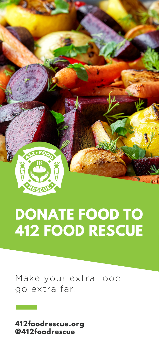

# **DONATE FOOD TO 412 FOOD RESCUE**

Make your extra food go extra far.

**412foodrescue.org @412foodrescue**